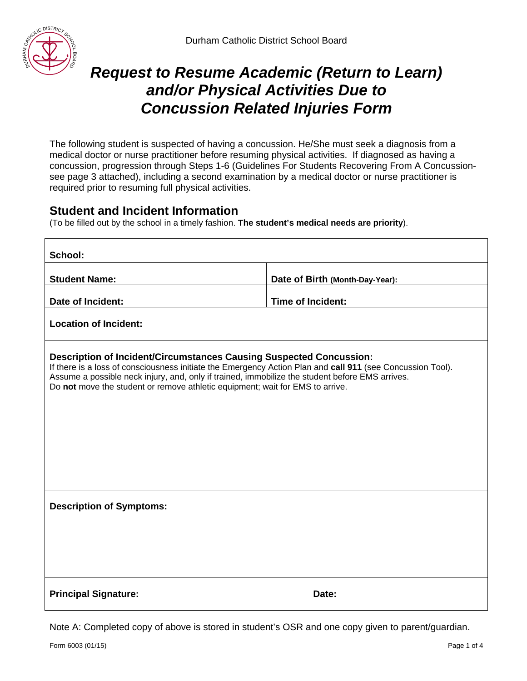

# *Request to Resume Academic (Return to Learn) and/or Physical Activities Due to Concussion Related Injuries Form*

The following student is suspected of having a concussion. He/She must seek a diagnosis from a medical doctor or nurse practitioner before resuming physical activities. If diagnosed as having a concussion, progression through Steps 1-6 (Guidelines For Students Recovering From A Concussionsee page 3 attached), including a second examination by a medical doctor or nurse practitioner is required prior to resuming full physical activities.

## **Student and Incident Information**

(To be filled out by the school in a timely fashion. **The student's medical needs are priority**).

| School:                                                                                                                                                                                                                                                                                                                                                                      |                                 |  |
|------------------------------------------------------------------------------------------------------------------------------------------------------------------------------------------------------------------------------------------------------------------------------------------------------------------------------------------------------------------------------|---------------------------------|--|
| <b>Student Name:</b>                                                                                                                                                                                                                                                                                                                                                         | Date of Birth (Month-Day-Year): |  |
| Date of Incident:                                                                                                                                                                                                                                                                                                                                                            | Time of Incident:               |  |
| <b>Location of Incident:</b>                                                                                                                                                                                                                                                                                                                                                 |                                 |  |
| <b>Description of Incident/Circumstances Causing Suspected Concussion:</b><br>If there is a loss of consciousness initiate the Emergency Action Plan and call 911 (see Concussion Tool).<br>Assume a possible neck injury, and, only if trained, immobilize the student before EMS arrives.<br>Do not move the student or remove athletic equipment; wait for EMS to arrive. |                                 |  |
| <b>Description of Symptoms:</b>                                                                                                                                                                                                                                                                                                                                              |                                 |  |
|                                                                                                                                                                                                                                                                                                                                                                              |                                 |  |
|                                                                                                                                                                                                                                                                                                                                                                              |                                 |  |
| <b>Principal Signature:</b>                                                                                                                                                                                                                                                                                                                                                  | Date:                           |  |

Note A: Completed copy of above is stored in student's OSR and one copy given to parent/guardian.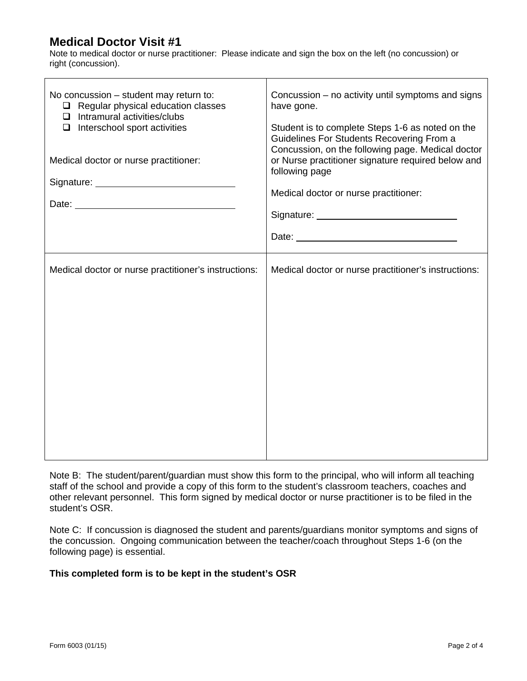# **Medical Doctor Visit #1**

Note to medical doctor or nurse practitioner: Please indicate and sign the box on the left (no concussion) or right (concussion).

┯

| No concussion – student may return to:<br>$\Box$ Regular physical education classes<br>$\Box$ Intramural activities/clubs<br>$\Box$ Interschool sport activities<br>Medical doctor or nurse practitioner: | Concussion - no activity until symptoms and signs<br>have gone.<br>Student is to complete Steps 1-6 as noted on the<br>Guidelines For Students Recovering From a<br>Concussion, on the following page. Medical doctor<br>or Nurse practitioner signature required below and<br>following page<br>Medical doctor or nurse practitioner: |
|-----------------------------------------------------------------------------------------------------------------------------------------------------------------------------------------------------------|----------------------------------------------------------------------------------------------------------------------------------------------------------------------------------------------------------------------------------------------------------------------------------------------------------------------------------------|
|                                                                                                                                                                                                           |                                                                                                                                                                                                                                                                                                                                        |
|                                                                                                                                                                                                           |                                                                                                                                                                                                                                                                                                                                        |
| Medical doctor or nurse practitioner's instructions:                                                                                                                                                      | Medical doctor or nurse practitioner's instructions:                                                                                                                                                                                                                                                                                   |

Note B: The student/parent/guardian must show this form to the principal, who will inform all teaching staff of the school and provide a copy of this form to the student's classroom teachers, coaches and other relevant personnel. This form signed by medical doctor or nurse practitioner is to be filed in the student's OSR.

Note C: If concussion is diagnosed the student and parents/guardians monitor symptoms and signs of the concussion. Ongoing communication between the teacher/coach throughout Steps 1-6 (on the following page) is essential.

#### **This completed form is to be kept in the student's OSR**

٦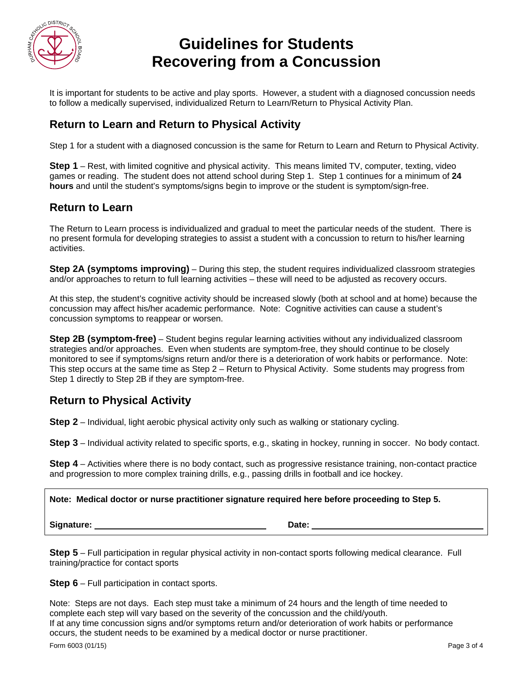

# **Guidelines for Students Recovering from a Concussion**

It is important for students to be active and play sports. However, a student with a diagnosed concussion needs to follow a medically supervised, individualized Return to Learn/Return to Physical Activity Plan.

# **Return to Learn and Return to Physical Activity**

Step 1 for a student with a diagnosed concussion is the same for Return to Learn and Return to Physical Activity.

**Step 1** – Rest, with limited cognitive and physical activity. This means limited TV, computer, texting, video games or reading. The student does not attend school during Step 1. Step 1 continues for a minimum of **24 hours** and until the student's symptoms/signs begin to improve or the student is symptom/sign-free.

#### **Return to Learn**

The Return to Learn process is individualized and gradual to meet the particular needs of the student. There is no present formula for developing strategies to assist a student with a concussion to return to his/her learning activities.

**Step 2A (symptoms improving)** – During this step, the student requires individualized classroom strategies and/or approaches to return to full learning activities – these will need to be adjusted as recovery occurs.

At this step, the student's cognitive activity should be increased slowly (both at school and at home) because the concussion may affect his/her academic performance. Note: Cognitive activities can cause a student's concussion symptoms to reappear or worsen.

**Step 2B (symptom-free)** – Student begins regular learning activities without any individualized classroom strategies and/or approaches. Even when students are symptom-free, they should continue to be closely monitored to see if symptoms/signs return and/or there is a deterioration of work habits or performance. Note: This step occurs at the same time as Step 2 – Return to Physical Activity. Some students may progress from Step 1 directly to Step 2B if they are symptom-free.

## **Return to Physical Activity**

**Step 2** – Individual, light aerobic physical activity only such as walking or stationary cycling.

**Step 3** – Individual activity related to specific sports, e.g., skating in hockey, running in soccer. No body contact.

**Step 4** – Activities where there is no body contact, such as progressive resistance training, non-contact practice and progression to more complex training drills, e.g., passing drills in football and ice hockey.

**Note: Medical doctor or nurse practitioner signature required here before proceeding to Step 5.** 

**Signature:** Date:

**Step 5** – Full participation in regular physical activity in non-contact sports following medical clearance. Full training/practice for contact sports

**Step 6** – Full participation in contact sports.

Note: Steps are not days. Each step must take a minimum of 24 hours and the length of time needed to complete each step will vary based on the severity of the concussion and the child/youth. If at any time concussion signs and/or symptoms return and/or deterioration of work habits or performance occurs, the student needs to be examined by a medical doctor or nurse practitioner.